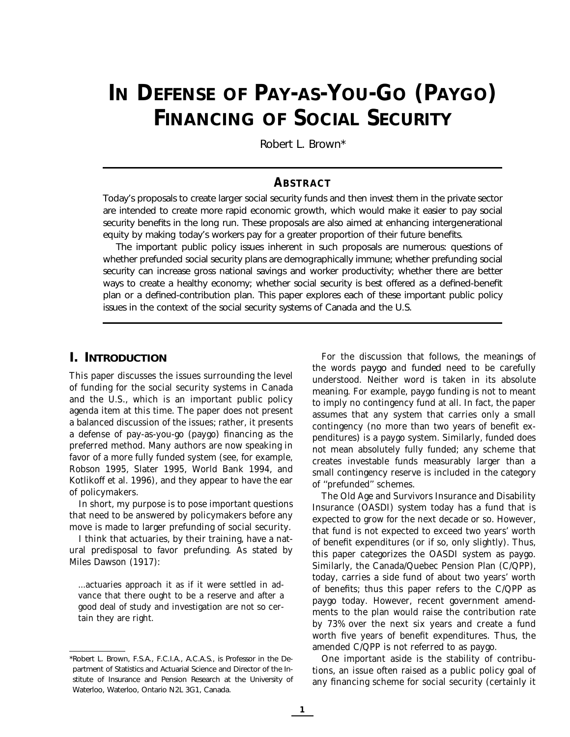# **IN DEFENSE OF PAY-AS-YOU-GO (PAYGO) FINANCING OF SOCIAL SECURITY**

Robert L. Brown\*

# **ABSTRACT**

Today's proposals to create larger social security funds and then invest them in the private sector are intended to create more rapid economic growth, which would make it easier to pay social security benefits in the long run. These proposals are also aimed at enhancing intergenerational equity by making today's workers pay for a greater proportion of their future benefits.

The important public policy issues inherent in such proposals are numerous: questions of whether prefunded social security plans are demographically immune; whether prefunding social security can increase gross national savings and worker productivity; whether there are better ways to create a healthy economy; whether social security is best offered as a defined-benefit plan or a defined-contribution plan. This paper explores each of these important public policy issues in the context of the social security systems of Canada and the U.S.

# **I. INTRODUCTION**

This paper discusses the issues surrounding the level of funding for the social security systems in Canada and the U.S., which is an important public policy agenda item at this time. The paper does not present a balanced discussion of the issues; rather, it presents a defense of pay-as-you-go (paygo) financing as the preferred method. Many authors are now speaking in favor of a more fully funded system (see, for example, Robson 1995, Slater 1995, World Bank 1994, and Kotlikoff et al. 1996), and they appear to have the ear of policymakers.

In short, my purpose is to pose important questions that need to be answered by policymakers before any move is made to larger prefunding of social security.

I think that actuaries, by their training, have a natural predisposal to favor prefunding. As stated by Miles Dawson (1917):

...actuaries approach it as if it were settled in advance that there ought to be a reserve and after a good deal of study and investigation are not so certain they are right.

For the discussion that follows, the meanings of the words *paygo* and *funded* need to be carefully understood. Neither word is taken in its absolute meaning. For example, paygo funding is not to meant to imply no contingency fund at all. In fact, the paper assumes that any system that carries only a small contingency (no more than two years of benefit expenditures) is a paygo system. Similarly, funded does not mean absolutely fully funded; any scheme that creates investable funds measurably larger than a small contingency reserve is included in the category of ''prefunded'' schemes.

The Old Age and Survivors Insurance and Disability Insurance (OASDI) system today has a fund that is expected to grow for the next decade or so. However, that fund is not expected to exceed two years' worth of benefit expenditures (or if so, only slightly). Thus, this paper categorizes the OASDI system as paygo. Similarly, the Canada/Quebec Pension Plan (C/QPP), today, carries a side fund of about two years' worth of benefits; thus this paper refers to the C/QPP as paygo today. However, recent government amendments to the plan would raise the contribution rate by 73% over the next six years and create a fund worth five years of benefit expenditures. Thus, the amended C/QPP is not referred to as paygo.

One important aside is the stability of contributions, an issue often raised as a public policy goal of any financing scheme for social security (certainly it

<sup>\*</sup>Robert L. Brown, F.S.A., F.C.I.A., A.C.A.S., is Professor in the Department of Statistics and Actuarial Science and Director of the Institute of Insurance and Pension Research at the University of Waterloo, Waterloo, Ontario N2L 3G1, Canada.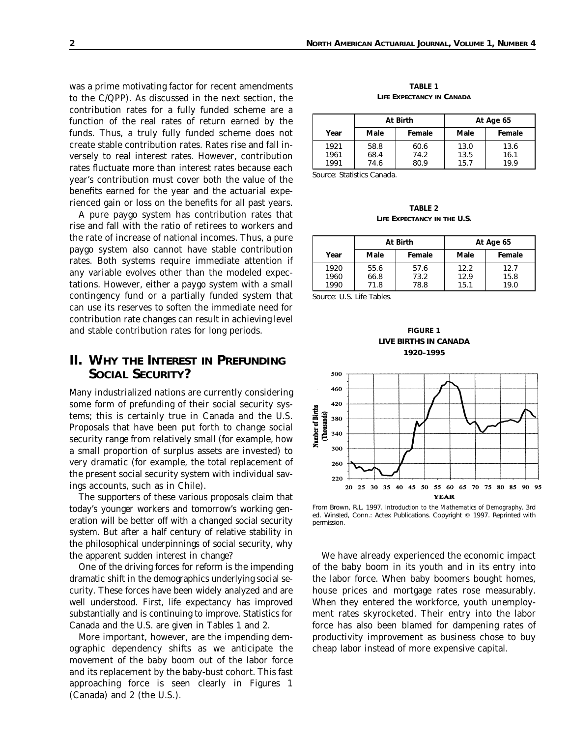was a prime motivating factor for recent amendments to the C/QPP). As discussed in the next section, the contribution rates for a fully funded scheme are a function of the real rates of return earned by the funds. Thus, a truly fully funded scheme does not create stable contribution rates. Rates rise and fall inversely to real interest rates. However, contribution rates fluctuate more than interest rates because each year's contribution must cover both the value of the benefits earned for the year and the actuarial experienced gain or loss on the benefits for all past years.

A pure paygo system has contribution rates that rise and fall with the ratio of retirees to workers and the rate of increase of national incomes. Thus, a pure paygo system also cannot have stable contribution rates. Both systems require immediate attention if any variable evolves other than the modeled expectations. However, either a paygo system with a small contingency fund or a partially funded system that can use its reserves to soften the immediate need for contribution rate changes can result in achieving level and stable contribution rates for long periods.

# **II. WHY THE INTEREST IN PREFUNDING SOCIAL SECURITY?**

Many industrialized nations are currently considering some form of prefunding of their social security systems; this is certainly true in Canada and the U.S. Proposals that have been put forth to change social security range from relatively small (for example, how a small proportion of surplus assets are invested) to very dramatic (for example, the total replacement of the present social security system with individual savings accounts, such as in Chile).

The supporters of these various proposals claim that today's younger workers and tomorrow's working generation will be better off with a changed social security system. But after a half century of relative stability in the philosophical underpinnings of social security, why the apparent sudden interest in change?

One of the driving forces for reform is the impending dramatic shift in the demographics underlying social security. These forces have been widely analyzed and are well understood. First, life expectancy has improved substantially and is continuing to improve. Statistics for Canada and the U.S. are given in Tables 1 and 2.

More important, however, are the impending demographic dependency shifts as we anticipate the movement of the baby boom out of the labor force and its replacement by the baby-bust cohort. This fast approaching force is seen clearly in Figures 1 (Canada) and 2 (the U.S.).

**TABLE 1 LIFE EXPECTANCY IN CANADA**

|                      | At Birth             |                      | At Age 65            |                      |
|----------------------|----------------------|----------------------|----------------------|----------------------|
| Year                 | Male                 | Female               | Male                 | Female               |
| 1921<br>1961<br>1991 | 58.8<br>68.4<br>74.6 | 60.6<br>74.2<br>80.9 | 13.0<br>13.5<br>15.7 | 13.6<br>16.1<br>19.9 |

Source: Statistics Canada.

**TABLE 2 LIFE EXPECTANCY IN THE U.S.**

|                      | At Birth             |                      |                      | At Age 65            |
|----------------------|----------------------|----------------------|----------------------|----------------------|
| Year                 | Male                 | Female               | Male                 | Female               |
| 1920<br>1960<br>1990 | 55.6<br>66.8<br>71.8 | 57.6<br>73.2<br>78.8 | 12.2<br>12.9<br>15.1 | 12.7<br>15.8<br>19.N |

Source: U.S. Life Tables.





From Brown, R.L. 1997. *Introduction to the Mathematics of Demography*. 3rd ed. Winsted, Conn.: Actex Publications. Copyright @ 1997. Reprinted with permission.

We have already experienced the economic impact of the baby boom in its youth and in its entry into the labor force. When baby boomers bought homes, house prices and mortgage rates rose measurably. When they entered the workforce, youth unemployment rates skyrocketed. Their entry into the labor force has also been blamed for dampening rates of productivity improvement as business chose to buy cheap labor instead of more expensive capital.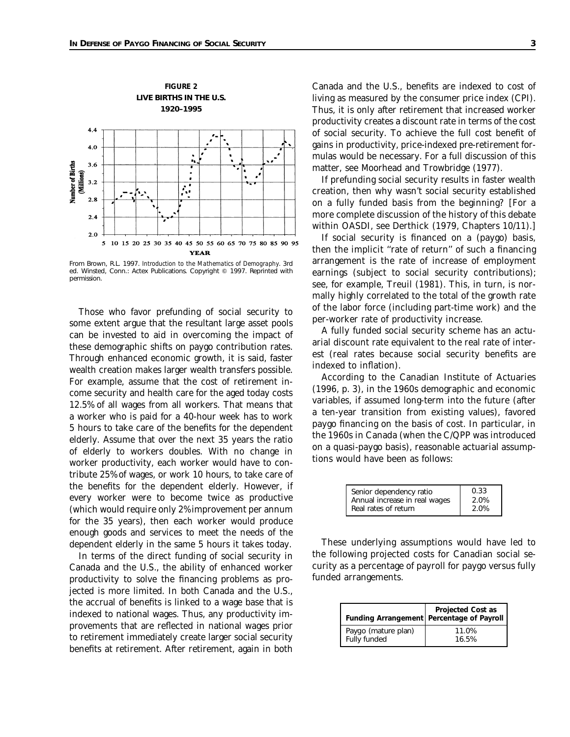

**FIGURE 2**

From Brown, R.L. 1997. *Introduction to the Mathematics of Demography*. 3rd ed. Winsted, Conn.: Actex Publications. Copyright @ 1997. Reprinted with permission.

Those who favor prefunding of social security to some extent argue that the resultant large asset pools can be invested to aid in overcoming the impact of these demographic shifts on paygo contribution rates. Through enhanced economic growth, it is said, faster wealth creation makes larger wealth transfers possible. For example, assume that the cost of retirement income security and health care for the aged today costs 12.5% of all wages from all workers. That means that a worker who is paid for a 40-hour week has to work 5 hours to take care of the benefits for the dependent elderly. Assume that over the next 35 years the ratio of elderly to workers doubles. With no change in worker productivity, each worker would have to contribute 25% of wages, or work 10 hours, to take care of the benefits for the dependent elderly. However, if every worker were to become twice as productive (which would require only 2% improvement per annum for the 35 years), then each worker would produce enough goods and services to meet the needs of the dependent elderly in the same 5 hours it takes today.

In terms of the direct funding of social security in Canada and the U.S., the ability of enhanced worker productivity to solve the financing problems as projected is more limited. In both Canada and the U.S., the accrual of benefits is linked to a wage base that is indexed to national wages. Thus, any productivity improvements that are reflected in national wages prior to retirement immediately create larger social security benefits at retirement. After retirement, again in both

Canada and the U.S., benefits are indexed to cost of living as measured by the consumer price index (CPI). Thus, it is only after retirement that increased worker productivity creates a discount rate in terms of the cost of social security. To achieve the full cost benefit of gains in productivity, price-indexed pre-retirement formulas would be necessary. For a full discussion of this matter, see Moorhead and Trowbridge (1977).

If prefunding social security results in faster wealth creation, then why wasn't social security established on a fully funded basis from the beginning? [For a more complete discussion of the history of this debate within OASDI, see Derthick (1979, Chapters 10/11).]

If social security is financed on a (paygo) basis, then the implicit ''rate of return'' of such a financing arrangement is the rate of increase of employment earnings (subject to social security contributions); see, for example, Treuil (1981). This, in turn, is normally highly correlated to the total of the growth rate of the labor force (including part-time work) and the per-worker rate of productivity increase.

A fully funded social security scheme has an actuarial discount rate equivalent to the real rate of interest (real rates because social security benefits are indexed to inflation).

According to the Canadian Institute of Actuaries (1996, p. 3), in the 1960s demographic and economic variables, if assumed long-term into the future (after a ten-year transition from existing values), favored paygo financing on the basis of cost. In particular, in the 1960s in Canada (when the C/QPP was introduced on a quasi-paygo basis), reasonable actuarial assumptions would have been as follows:

These underlying assumptions would have led to the following projected costs for Canadian social security as a percentage of payroll for paygo versus fully funded arrangements.

| Funding Arrangement   Percentage of Payroll | <b>Projected Cost as</b> |  |
|---------------------------------------------|--------------------------|--|
| Paygo (mature plan)                         | 11.0%                    |  |
| Fully funded                                | 16.5%                    |  |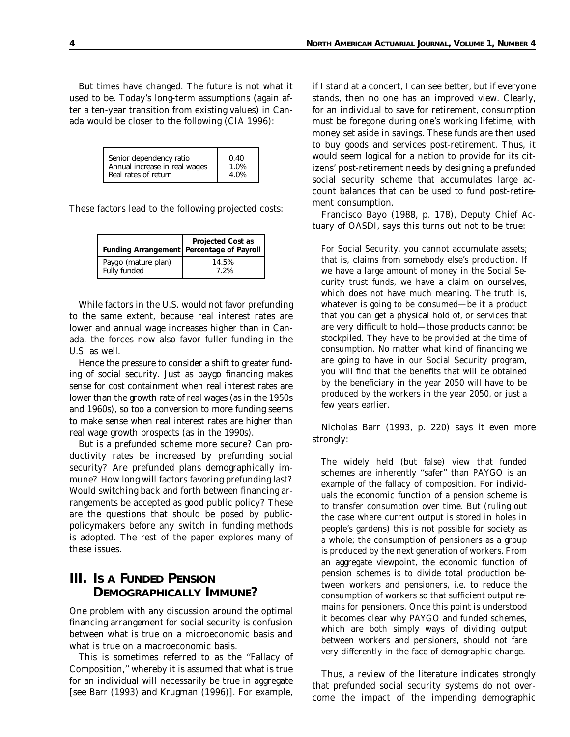But times have changed. The future is not what it used to be. Today's long-term assumptions (again after a ten-year transition from existing values) in Canada would be closer to the following (CIA 1996):

| Senior dependency ratio       | 0.40 |
|-------------------------------|------|
| Annual increase in real wages | 1.0% |
| Real rates of return          | 4.0% |
|                               |      |

These factors lead to the following projected costs:

| Funding Arrangement   Percentage of Payroll | Projected Cost as |  |
|---------------------------------------------|-------------------|--|
| Paygo (mature plan)                         | 14.5%             |  |
| Fully funded                                | 7 2%              |  |

While factors in the U.S. would not favor prefunding to the same extent, because real interest rates are lower and annual wage increases higher than in Canada, the forces now also favor fuller funding in the U.S. as well.

Hence the pressure to consider a shift to greater funding of social security. Just as paygo financing makes sense for cost containment when real interest rates are lower than the growth rate of real wages (as in the 1950s and 1960s), so too a conversion to more funding seems to make sense when real interest rates are higher than real wage growth prospects (as in the 1990s).

But is a prefunded scheme more secure? Can productivity rates be increased by prefunding social security? Are prefunded plans demographically immune? How long will factors favoring prefunding last? Would switching back and forth between financing arrangements be accepted as good public policy? These are the questions that should be posed by publicpolicymakers before any switch in funding methods is adopted. The rest of the paper explores many of these issues.

# **III. IS A FUNDED PENSION DEMOGRAPHICALLY IMMUNE?**

One problem with any discussion around the optimal financing arrangement for social security is confusion between what is true on a microeconomic basis and what is true on a macroeconomic basis.

This is sometimes referred to as the ''Fallacy of Composition,'' whereby it is assumed that what is true for an individual will necessarily be true in aggregate [see Barr (1993) and Krugman (1996)]. For example,

if I stand at a concert, I can see better, but if everyone stands, then no one has an improved view. Clearly, for an individual to save for retirement, consumption must be foregone during one's working lifetime, with money set aside in savings. These funds are then used to buy goods and services post-retirement. Thus, it would seem logical for a nation to provide for its citizens' post-retirement needs by designing a prefunded social security scheme that accumulates large account balances that can be used to fund post-retirement consumption.

Francisco Bayo (1988, p. 178), Deputy Chief Actuary of OASDI, says this turns out not to be true:

For Social Security, you cannot accumulate assets; that is, claims from somebody else's production. If we have a large amount of money in the Social Security trust funds, we have a claim on ourselves, which does not have much meaning. The truth is, whatever is going to be consumed—be it a product that you can get a physical hold of, or services that are very difficult to hold—those products cannot be stockpiled. They have to be provided at the time of consumption. No matter what kind of financing we are going to have in our Social Security program, you will find that the benefits that will be obtained by the beneficiary in the year 2050 will have to be produced by the workers in the year 2050, or just a few years earlier.

Nicholas Barr (1993, p. 220) says it even more strongly:

The widely held (but false) view that funded schemes are inherently ''safer'' than PAYGO is an example of the fallacy of composition. For individuals the economic function of a pension scheme is to transfer consumption over time. But (ruling out the case where current output is stored in holes in people's gardens) this is not possible for society as a whole; the consumption of pensioners as a group is produced by the next generation of workers. From an aggregate viewpoint, the economic function of pension schemes is to divide total production between workers and pensioners, i.e. to reduce the consumption of workers so that sufficient output remains for pensioners. Once this point is understood it becomes clear why PAYGO and funded schemes, which are both simply ways of dividing output between workers and pensioners, should not fare very differently in the face of demographic change.

Thus, a review of the literature indicates strongly that prefunded social security systems do not overcome the impact of the impending demographic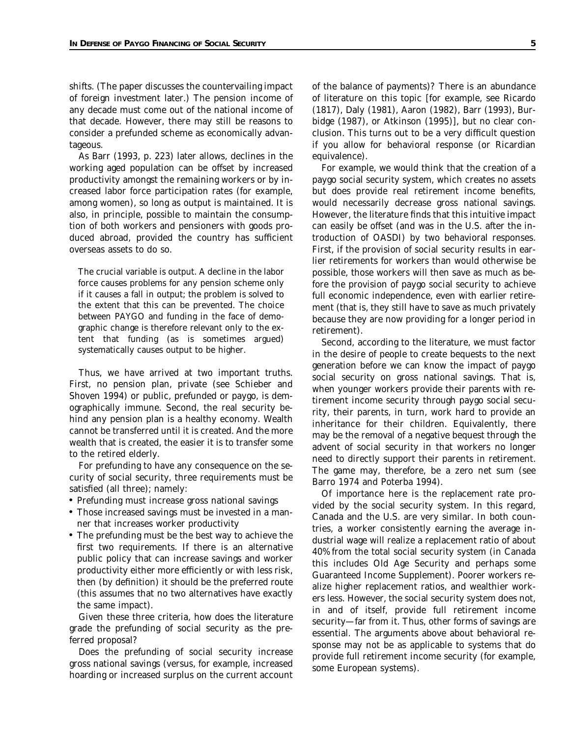shifts. (The paper discusses the countervailing impact of foreign investment later.) The pension income of any decade must come out of the national income of that decade. However, there may still be reasons to consider a prefunded scheme as economically advantageous.

As Barr (1993, p. 223) later allows, declines in the working aged population can be offset by increased productivity amongst the remaining workers or by increased labor force participation rates (for example, among women), so long as output is maintained. It is also, in principle, possible to maintain the consumption of both workers and pensioners with goods produced abroad, provided the country has sufficient overseas assets to do so.

The crucial variable is output. A decline in the labor force causes problems for any pension scheme only if it causes a fall in output; the problem is solved to the extent that this can be prevented. The choice between PAYGO and funding in the face of demographic change is therefore relevant only to the extent that funding (as is sometimes argued) systematically causes output to be higher.

Thus, we have arrived at two important truths. First, no pension plan, private (see Schieber and Shoven 1994) or public, prefunded or paygo, is demographically immune. Second, the real security behind any pension plan is a healthy economy. Wealth cannot be transferred until it is created. And the more wealth that is created, the easier it is to transfer some to the retired elderly.

For prefunding to have any consequence on the security of social security, three requirements must be satisfied (all three); namely:

- Prefunding must increase gross national savings
- Those increased savings must be invested in a manner that increases worker productivity
- The prefunding must be the best way to achieve the first two requirements. If there is an alternative public policy that can increase savings and worker productivity either more efficiently or with less risk, then (by definition) it should be the preferred route (this assumes that no two alternatives have exactly the same impact).

Given these three criteria, how does the literature grade the prefunding of social security as the preferred proposal?

Does the prefunding of social security increase gross national savings (versus, for example, increased hoarding or increased surplus on the current account

of the balance of payments)? There is an abundance of literature on this topic [for example, see Ricardo (1817), Daly (1981), Aaron (1982), Barr (1993), Burbidge (1987), or Atkinson (1995)], but no clear conclusion. This turns out to be a very difficult question if you allow for behavioral response (or Ricardian equivalence).

For example, we would think that the creation of a paygo social security system, which creates no assets but does provide real retirement income benefits, would necessarily decrease gross national savings. However, the literature finds that this intuitive impact can easily be offset (and was in the U.S. after the introduction of OASDI) by two behavioral responses. First, if the provision of social security results in earlier retirements for workers than would otherwise be possible, those workers will then save as much as before the provision of paygo social security to achieve full economic independence, even with earlier retirement (that is, they still have to save as much privately because they are now providing for a longer period in retirement).

Second, according to the literature, we must factor in the desire of people to create bequests to the next generation before we can know the impact of paygo social security on gross national savings. That is, when younger workers provide their parents with retirement income security through paygo social security, their parents, in turn, work hard to provide an inheritance for their children. Equivalently, there may be the removal of a negative bequest through the advent of social security in that workers no longer need to directly support their parents in retirement. The game may, therefore, be a zero net sum (see Barro 1974 and Poterba 1994).

Of importance here is the replacement rate provided by the social security system. In this regard, Canada and the U.S. are very similar. In both countries, a worker consistently earning the average industrial wage will realize a replacement ratio of about 40% from the total social security system (in Canada this includes Old Age Security and perhaps some Guaranteed Income Supplement). Poorer workers realize higher replacement ratios, and wealthier workers less. However, the social security system does not, in and of itself, provide full retirement income security—far from it. Thus, other forms of savings are essential. The arguments above about behavioral response may not be as applicable to systems that do provide full retirement income security (for example, some European systems).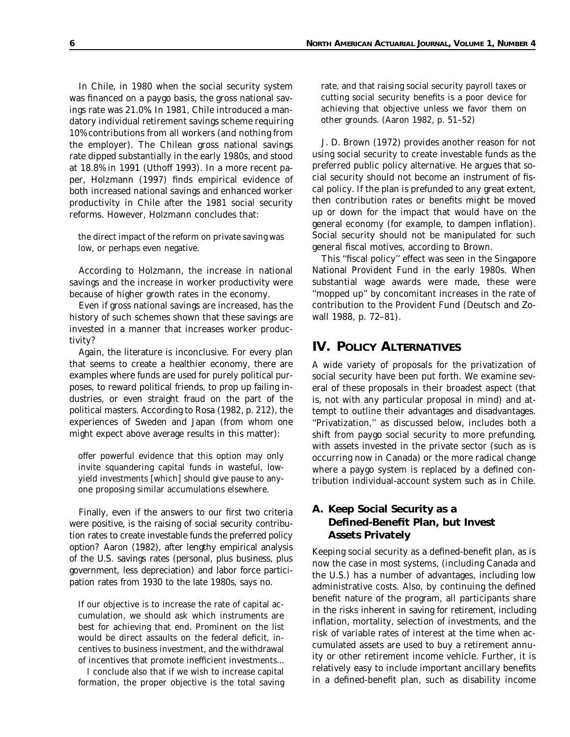In Chile, in 1980 when the social security system was financed on a paygo basis, the gross national savings rate was 21.0%. In 1981, Chile introduced a mandatory individual retirement savings scheme requiring 10% contributions from all workers (and nothing from the employer). The Chilean gross national savings rate dipped substantially in the early 1980s, and stood at 18.8% in 1991 (Uthoff 1993). In a more recent paper, Holzmann (1997) finds empirical evidence of both increased national savings and enhanced worker productivity in Chile after the 1981 social security reforms. However, Holzmann concludes that:

the direct impact of the reform on private saving was low, or perhaps even negative.

According to Holzmann, the increase in national savings and the increase in worker productivity were because of higher growth rates in the economy.

Even if gross national savings are increased, has the history of such schemes shown that these savings are invested in a manner that increases worker productivity?

Again, the literature is inconclusive. For every plan that seems to create a healthier economy, there are examples where funds are used for purely political purposes, to reward political friends, to prop up failing industries, or even straight fraud on the part of the political masters. According to Rosa (1982, p. 212), the experiences of Sweden and Japan (from whom one might expect above average results in this matter):

offer powerful evidence that this option may only invite squandering capital funds in wasteful, lowyield investments [which] should give pause to anyone proposing similar accumulations elsewhere.

Finally, even if the answers to our first two criteria were positive, is the raising of social security contribution rates to create investable funds the preferred policy option? Aaron (1982), after lengthy empirical analysis of the U.S. savings rates (personal, plus business, plus government, less depreciation) and labor force participation rates from 1930 to the late 1980s, says no.

If our objective is to increase the rate of capital accumulation, we should ask which instruments are best for achieving that end. Prominent on the list would be direct assaults on the federal deficit, incentives to business investment, and the withdrawal of incentives that promote inefficient investments...

I conclude also that if we wish to increase capital formation, the proper objective is the total saving rate, and that raising social security payroll taxes or cutting social security benefits is a poor device for achieving that objective unless we favor them on other grounds. (Aaron 1982, p. 51–52)

J. D. Brown (1972) provides another reason for not using social security to create investable funds as the preferred public policy alternative. He argues that social security should not become an instrument of fiscal policy. If the plan is prefunded to any great extent, then contribution rates or benefits might be moved up or down for the impact that would have on the general economy (for example, to dampen inflation). Social security should not be manipulated for such general fiscal motives, according to Brown.

This ''fiscal policy'' effect was seen in the Singapore National Provident Fund in the early 1980s. When substantial wage awards were made, these were "mopped up" by concomitant increases in the rate of contribution to the Provident Fund (Deutsch and Zowall 1988, p. 72–81).

# **IV. POLICY ALTERNATIVES**

A wide variety of proposals for the privatization of social security have been put forth. We examine several of these proposals in their broadest aspect (that is, not with any particular proposal in mind) and attempt to outline their advantages and disadvantages. ''Privatization,'' as discussed below, includes both a shift from paygo social security to more prefunding, with assets invested in the private sector (such as is occurring now in Canada) or the more radical change where a paygo system is replaced by a defined contribution individual-account system such as in Chile.

## **A. Keep Social Security as a Defined-Benefit Plan, but Invest Assets Privately**

Keeping social security as a defined-benefit plan, as is now the case in most systems, (including Canada and the U.S.) has a number of advantages, including low administrative costs. Also, by continuing the defined benefit nature of the program, all participants share in the risks inherent in saving for retirement, including inflation, mortality, selection of investments, and the risk of variable rates of interest at the time when accumulated assets are used to buy a retirement annuity or other retirement income vehicle. Further, it is relatively easy to include important ancillary benefits in a defined-benefit plan, such as disability income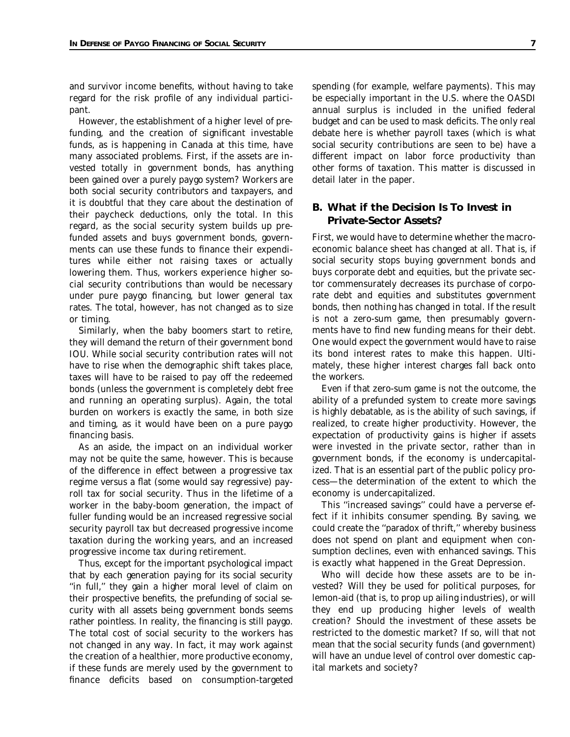and survivor income benefits, without having to take regard for the risk profile of any individual participant.

However, the establishment of a higher level of prefunding, and the creation of significant investable funds, as is happening in Canada at this time, have many associated problems. First, if the assets are invested totally in government bonds, has anything been gained over a purely paygo system? Workers are both social security contributors and taxpayers, and it is doubtful that they care about the destination of their paycheck deductions, only the total. In this regard, as the social security system builds up prefunded assets and buys government bonds, governments can use these funds to finance their expenditures while either not raising taxes or actually lowering them. Thus, workers experience higher social security contributions than would be necessary under pure paygo financing, but lower general tax rates. The total, however, has not changed as to size or timing.

Similarly, when the baby boomers start to retire, they will demand the return of their government bond IOU. While social security contribution rates will not have to rise when the demographic shift takes place, taxes will have to be raised to pay off the redeemed bonds (unless the government is completely debt free and running an operating surplus). Again, the total burden on workers is exactly the same, in both size and timing, as it would have been on a pure paygo financing basis.

As an aside, the impact on an individual worker may not be quite the same, however. This is because of the difference in effect between a progressive tax regime versus a flat (some would say regressive) payroll tax for social security. Thus in the lifetime of a worker in the baby-boom generation, the impact of fuller funding would be an increased regressive social security payroll tax but decreased progressive income taxation during the working years, and an increased progressive income tax during retirement.

Thus, except for the important psychological impact that by each generation paying for its social security ''in full,'' they gain a higher moral level of claim on their prospective benefits, the prefunding of social security with all assets being government bonds seems rather pointless. In reality, the financing is still paygo. The total cost of social security to the workers has not changed in any way. In fact, it may work against the creation of a healthier, more productive economy, if these funds are merely used by the government to finance deficits based on consumption-targeted spending (for example, welfare payments). This may be especially important in the U.S. where the OASDI annual surplus is included in the unified federal budget and can be used to mask deficits. The only real debate here is whether payroll taxes (which is what social security contributions are seen to be) have a different impact on labor force productivity than other forms of taxation. This matter is discussed in detail later in the paper.

## **B. What if the Decision Is To Invest in Private-Sector Assets?**

First, we would have to determine whether the macroeconomic balance sheet has changed at all. That is, if social security stops buying government bonds and buys corporate debt and equities, but the private sector commensurately decreases its purchase of corporate debt and equities and substitutes government bonds, then nothing has changed in total. If the result is not a zero-sum game, then presumably governments have to find new funding means for their debt. One would expect the government would have to raise its bond interest rates to make this happen. Ultimately, these higher interest charges fall back onto the workers.

Even if that zero-sum game is not the outcome, the ability of a prefunded system to create more savings is highly debatable, as is the ability of such savings, if realized, to create higher productivity. However, the expectation of productivity gains is higher if assets were invested in the private sector, rather than in government bonds, if the economy is undercapitalized. That is an essential part of the public policy process—the determination of the extent to which the economy is undercapitalized.

This ''increased savings'' could have a perverse effect if it inhibits consumer spending. By saving, we could create the ''paradox of thrift,'' whereby business does not spend on plant and equipment when consumption declines, even with enhanced savings. This is exactly what happened in the Great Depression.

Who will decide how these assets are to be invested? Will they be used for political purposes, for lemon-aid (that is, to prop up ailing industries), or will they end up producing higher levels of wealth creation? Should the investment of these assets be restricted to the domestic market? If so, will that not mean that the social security funds (and government) will have an undue level of control over domestic capital markets and society?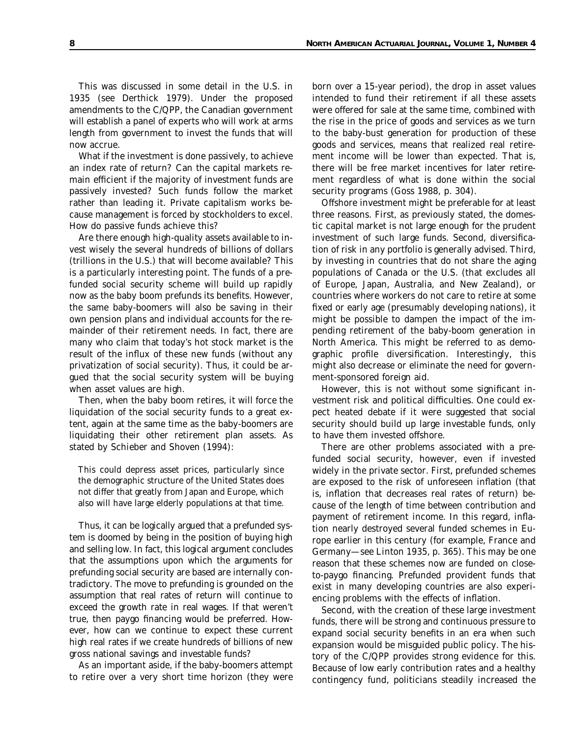This was discussed in some detail in the U.S. in 1935 (see Derthick 1979). Under the proposed amendments to the C/QPP, the Canadian government will establish a panel of experts who will work at arms length from government to invest the funds that will now accrue.

What if the investment is done passively, to achieve an index rate of return? Can the capital markets remain efficient if the majority of investment funds are passively invested? Such funds follow the market rather than leading it. Private capitalism works because management is forced by stockholders to excel. How do passive funds achieve this?

Are there enough high-quality assets available to invest wisely the several hundreds of billions of dollars (trillions in the U.S.) that will become available? This is a particularly interesting point. The funds of a prefunded social security scheme will build up rapidly now as the baby boom prefunds its benefits. However, the same baby-boomers will also be saving in their own pension plans and individual accounts for the remainder of their retirement needs. In fact, there are many who claim that today's hot stock market is the result of the influx of these new funds (without any privatization of social security). Thus, it could be argued that the social security system will be buying when asset values are high.

Then, when the baby boom retires, it will force the liquidation of the social security funds to a great extent, again at the same time as the baby-boomers are liquidating their other retirement plan assets. As stated by Schieber and Shoven (1994):

This could depress asset prices, particularly since the demographic structure of the United States does not differ that greatly from Japan and Europe, which also will have large elderly populations at that time.

Thus, it can be logically argued that a prefunded system is doomed by being in the position of buying high and selling low. In fact, this logical argument concludes that the assumptions upon which the arguments for prefunding social security are based are internally contradictory. The move to prefunding is grounded on the assumption that real rates of return will continue to exceed the growth rate in real wages. If that weren't true, then paygo financing would be preferred. However, how can we continue to expect these current high real rates if we create hundreds of billions of new gross national savings and investable funds?

As an important aside, if the baby-boomers attempt to retire over a very short time horizon (they were

born over a 15-year period), the drop in asset values intended to fund their retirement if all these assets were offered for sale at the same time, combined with the rise in the price of goods and services as we turn to the baby-bust generation for production of these goods and services, means that realized real retirement income will be lower than expected. That is, there will be free market incentives for later retirement regardless of what is done within the social security programs (Goss 1988, p. 304).

Offshore investment might be preferable for at least three reasons. First, as previously stated, the domestic capital market is not large enough for the prudent investment of such large funds. Second, diversification of risk in any portfolio is generally advised. Third, by investing in countries that do not share the aging populations of Canada or the U.S. (that excludes all of Europe, Japan, Australia, and New Zealand), or countries where workers do not care to retire at some fixed or early age (presumably developing nations), it might be possible to dampen the impact of the impending retirement of the baby-boom generation in North America. This might be referred to as demographic profile diversification. Interestingly, this might also decrease or eliminate the need for government-sponsored foreign aid.

However, this is not without some significant investment risk and political difficulties. One could expect heated debate if it were suggested that social security should build up large investable funds, only to have them invested offshore.

There are other problems associated with a prefunded social security, however, even if invested widely in the private sector. First, prefunded schemes are exposed to the risk of unforeseen inflation (that is, inflation that decreases real rates of return) because of the length of time between contribution and payment of retirement income. In this regard, inflation nearly destroyed several funded schemes in Europe earlier in this century (for example, France and Germany—see Linton 1935, p. 365). This may be one reason that these schemes now are funded on closeto-paygo financing. Prefunded provident funds that exist in many developing countries are also experiencing problems with the effects of inflation.

Second, with the creation of these large investment funds, there will be strong and continuous pressure to expand social security benefits in an era when such expansion would be misguided public policy. The history of the C/QPP provides strong evidence for this. Because of low early contribution rates and a healthy contingency fund, politicians steadily increased the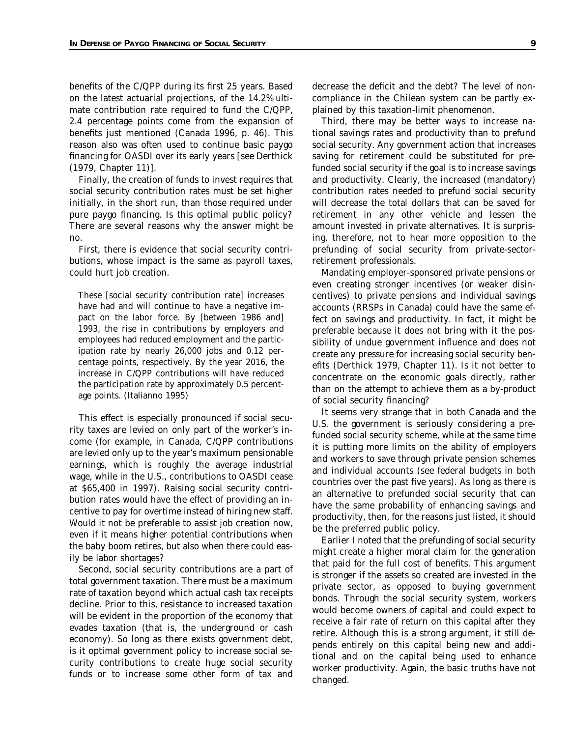benefits of the C/QPP during its first 25 years. Based on the latest actuarial projections, of the 14.2% ultimate contribution rate required to fund the C/QPP, 2.4 percentage points come from the expansion of benefits just mentioned (Canada 1996, p. 46). This reason also was often used to continue basic paygo financing for OASDI over its early years [see Derthick (1979, Chapter 11)].

Finally, the creation of funds to invest requires that social security contribution rates must be set higher initially, in the short run, than those required under pure paygo financing. Is this optimal public policy? There are several reasons why the answer might be no.

First, there is evidence that social security contributions, whose impact is the same as payroll taxes, could hurt job creation.

These [social security contribution rate] increases have had and will continue to have a negative impact on the labor force. By [between 1986 and] 1993, the rise in contributions by employers and employees had reduced employment and the participation rate by nearly 26,000 jobs and 0.12 percentage points, respectively. By the year 2016, the increase in C/QPP contributions will have reduced the participation rate by approximately 0.5 percentage points. (Italianno 1995)

This effect is especially pronounced if social security taxes are levied on only part of the worker's income (for example, in Canada, C/QPP contributions are levied only up to the year's maximum pensionable earnings, which is roughly the average industrial wage, while in the U.S., contributions to OASDI cease at \$65,400 in 1997). Raising social security contribution rates would have the effect of providing an incentive to pay for overtime instead of hiring new staff. Would it not be preferable to assist job creation now, even if it means higher potential contributions when the baby boom retires, but also when there could easily be labor shortages?

Second, social security contributions are a part of total government taxation. There must be a maximum rate of taxation beyond which actual cash tax receipts decline. Prior to this, resistance to increased taxation will be evident in the proportion of the economy that evades taxation (that is, the underground or cash economy). So long as there exists government debt, is it optimal government policy to increase social security contributions to create huge social security funds or to increase some other form of tax and

decrease the deficit and the debt? The level of noncompliance in the Chilean system can be partly explained by this taxation-limit phenomenon.

Third, there may be better ways to increase national savings rates and productivity than to prefund social security. Any government action that increases saving for retirement could be substituted for prefunded social security if the goal is to increase savings and productivity. Clearly, the increased (mandatory) contribution rates needed to prefund social security will decrease the total dollars that can be saved for retirement in any other vehicle and lessen the amount invested in private alternatives. It is surprising, therefore, not to hear more opposition to the prefunding of social security from private-sectorretirement professionals.

Mandating employer-sponsored private pensions or even creating stronger incentives (or weaker disincentives) to private pensions and individual savings accounts (RRSPs in Canada) could have the same effect on savings and productivity. In fact, it might be preferable because it does not bring with it the possibility of undue government influence and does not create any pressure for increasing social security benefits (Derthick 1979, Chapter 11). Is it not better to concentrate on the economic goals directly, rather than on the attempt to achieve them as a by-product of social security financing?

It seems very strange that in both Canada and the U.S. the government is seriously considering a prefunded social security scheme, while at the same time it is putting more limits on the ability of employers and workers to save through private pension schemes and individual accounts (see federal budgets in both countries over the past five years). As long as there is an alternative to prefunded social security that can have the same probability of enhancing savings and productivity, then, for the reasons just listed, it should be the preferred public policy.

Earlier I noted that the prefunding of social security might create a higher moral claim for the generation that paid for the full cost of benefits. This argument is stronger if the assets so created are invested in the private sector, as opposed to buying government bonds. Through the social security system, workers would become owners of capital and could expect to receive a fair rate of return on this capital after they retire. Although this is a strong argument, it still depends entirely on this capital being new and additional and on the capital being used to enhance worker productivity. Again, the basic truths have not changed.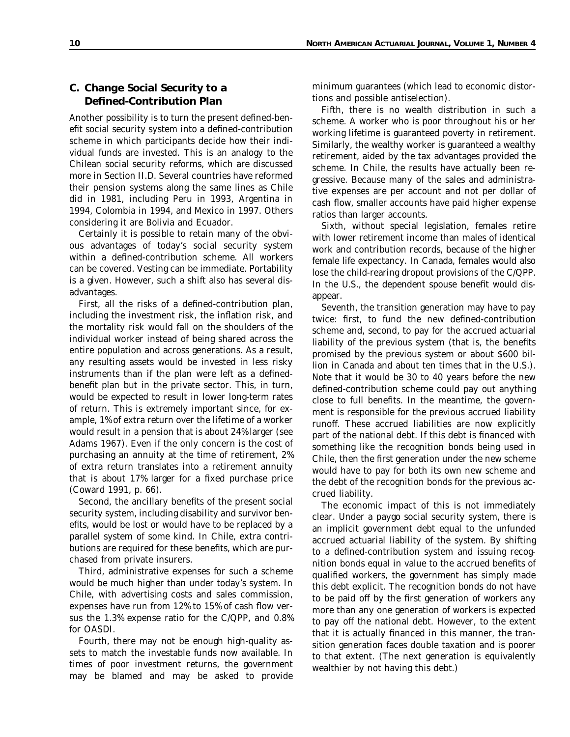## **C. Change Social Security to a Defined-Contribution Plan**

Another possibility is to turn the present defined-benefit social security system into a defined-contribution scheme in which participants decide how their individual funds are invested. This is an analogy to the Chilean social security reforms, which are discussed more in Section II.D. Several countries have reformed their pension systems along the same lines as Chile did in 1981, including Peru in 1993, Argentina in 1994, Colombia in 1994, and Mexico in 1997. Others considering it are Bolivia and Ecuador.

Certainly it is possible to retain many of the obvious advantages of today's social security system within a defined-contribution scheme. All workers can be covered. Vesting can be immediate. Portability is a given. However, such a shift also has several disadvantages.

First, all the risks of a defined-contribution plan, including the investment risk, the inflation risk, and the mortality risk would fall on the shoulders of the individual worker instead of being shared across the entire population and across generations. As a result, any resulting assets would be invested in less risky instruments than if the plan were left as a definedbenefit plan but in the private sector. This, in turn, would be expected to result in lower long-term rates of return. This is extremely important since, for example, 1% of extra return over the lifetime of a worker would result in a pension that is about 24% larger (see Adams 1967). Even if the only concern is the cost of purchasing an annuity at the time of retirement, 2% of extra return translates into a retirement annuity that is about 17% larger for a fixed purchase price (Coward 1991, p. 66).

Second, the ancillary benefits of the present social security system, including disability and survivor benefits, would be lost or would have to be replaced by a parallel system of some kind. In Chile, extra contributions are required for these benefits, which are purchased from private insurers.

Third, administrative expenses for such a scheme would be much higher than under today's system. In Chile, with advertising costs and sales commission, expenses have run from 12% to 15% of cash flow versus the 1.3% expense ratio for the C/QPP, and 0.8% for OASDI.

Fourth, there may not be enough high-quality assets to match the investable funds now available. In times of poor investment returns, the government may be blamed and may be asked to provide minimum guarantees (which lead to economic distortions and possible antiselection).

Fifth, there is no wealth distribution in such a scheme. A worker who is poor throughout his or her working lifetime is guaranteed poverty in retirement. Similarly, the wealthy worker is guaranteed a wealthy retirement, aided by the tax advantages provided the scheme. In Chile, the results have actually been regressive. Because many of the sales and administrative expenses are per account and not per dollar of cash flow, smaller accounts have paid higher expense ratios than larger accounts.

Sixth, without special legislation, females retire with lower retirement income than males of identical work and contribution records, because of the higher female life expectancy. In Canada, females would also lose the child-rearing dropout provisions of the C/QPP. In the U.S., the dependent spouse benefit would disappear.

Seventh, the transition generation may have to pay twice: first, to fund the new defined-contribution scheme and, second, to pay for the accrued actuarial liability of the previous system (that is, the benefits promised by the previous system or about \$600 billion in Canada and about ten times that in the U.S.). Note that it would be 30 to 40 years before the new defined-contribution scheme could pay out anything close to full benefits. In the meantime, the government is responsible for the previous accrued liability runoff. These accrued liabilities are now explicitly part of the national debt. If this debt is financed with something like the recognition bonds being used in Chile, then the first generation under the new scheme would have to pay for both its own new scheme and the debt of the recognition bonds for the previous accrued liability.

The economic impact of this is not immediately clear. Under a paygo social security system, there is an implicit government debt equal to the unfunded accrued actuarial liability of the system. By shifting to a defined-contribution system and issuing recognition bonds equal in value to the accrued benefits of qualified workers, the government has simply made this debt explicit. The recognition bonds do not have to be paid off by the first generation of workers any more than any one generation of workers is expected to pay off the national debt. However, to the extent that it is actually financed in this manner, the transition generation faces double taxation and is poorer to that extent. (The next generation is equivalently wealthier by not having this debt.)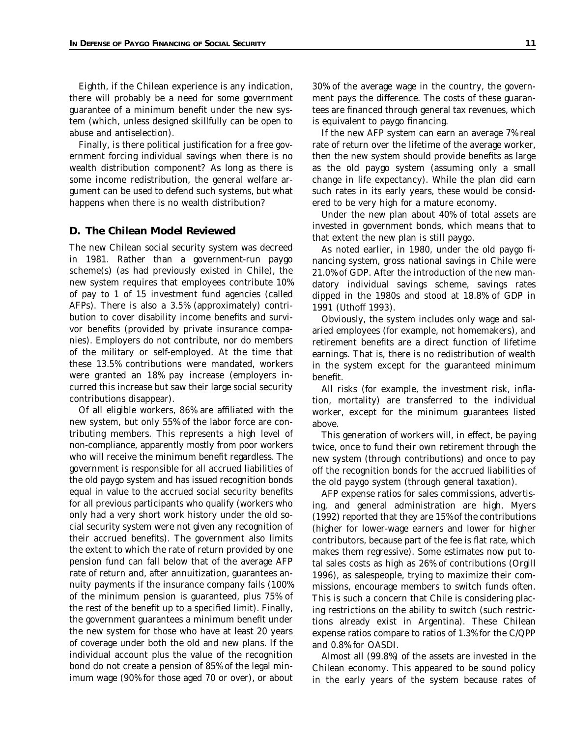Eighth, if the Chilean experience is any indication, there will probably be a need for some government guarantee of a minimum benefit under the new system (which, unless designed skillfully can be open to abuse and antiselection).

Finally, is there political justification for a free government forcing individual savings when there is no wealth distribution component? As long as there is some income redistribution, the general welfare argument can be used to defend such systems, but what happens when there is no wealth distribution?

#### **D. The Chilean Model Reviewed**

The new Chilean social security system was decreed in 1981. Rather than a government-run paygo scheme(s) (as had previously existed in Chile), the new system requires that employees contribute 10% of pay to 1 of 15 investment fund agencies (called AFPs). There is also a 3.5% (approximately) contribution to cover disability income benefits and survivor benefits (provided by private insurance companies). Employers do not contribute, nor do members of the military or self-employed. At the time that these 13.5% contributions were mandated, workers were granted an 18% pay increase (employers incurred this increase but saw their large social security contributions disappear).

Of all eligible workers, 86% are affiliated with the new system, but only 55% of the labor force are contributing members. This represents a high level of non-compliance, apparently mostly from poor workers who will receive the minimum benefit regardless. The government is responsible for all accrued liabilities of the old paygo system and has issued recognition bonds equal in value to the accrued social security benefits for all previous participants who qualify (workers who only had a very short work history under the old social security system were not given any recognition of their accrued benefits). The government also limits the extent to which the rate of return provided by one pension fund can fall below that of the average AFP rate of return and, after annuitization, guarantees annuity payments if the insurance company fails (100% of the minimum pension is guaranteed, plus 75% of the rest of the benefit up to a specified limit). Finally, the government guarantees a minimum benefit under the new system for those who have at least 20 years of coverage under both the old and new plans. If the individual account plus the value of the recognition bond do not create a pension of 85% of the legal minimum wage (90% for those aged 70 or over), or about

30% of the average wage in the country, the government pays the difference. The costs of these guarantees are financed through general tax revenues, which is equivalent to paygo financing.

If the new AFP system can earn an average 7% real rate of return over the lifetime of the average worker, then the new system should provide benefits as large as the old paygo system (assuming only a small change in life expectancy). While the plan did earn such rates in its early years, these would be considered to be very high for a mature economy.

Under the new plan about 40% of total assets are invested in government bonds, which means that to that extent the new plan is still paygo.

As noted earlier, in 1980, under the old paygo financing system, gross national savings in Chile were 21.0% of GDP. After the introduction of the new mandatory individual savings scheme, savings rates dipped in the 1980s and stood at 18.8% of GDP in 1991 (Uthoff 1993).

Obviously, the system includes only wage and salaried employees (for example, not homemakers), and retirement benefits are a direct function of lifetime earnings. That is, there is no redistribution of wealth in the system except for the guaranteed minimum benefit.

All risks (for example, the investment risk, inflation, mortality) are transferred to the individual worker, except for the minimum guarantees listed above.

This generation of workers will, in effect, be paying twice, once to fund their own retirement through the new system (through contributions) and once to pay off the recognition bonds for the accrued liabilities of the old paygo system (through general taxation).

AFP expense ratios for sales commissions, advertising, and general administration are high. Myers (1992) reported that they are 15% of the contributions (higher for lower-wage earners and lower for higher contributors, because part of the fee is flat rate, which makes them regressive). Some estimates now put total sales costs as high as 26% of contributions (Orgill 1996), as salespeople, trying to maximize their commissions, encourage members to switch funds often. This is such a concern that Chile is considering placing restrictions on the ability to switch (such restrictions already exist in Argentina). These Chilean expense ratios compare to ratios of 1.3% for the C/QPP and 0.8% for OASDI.

Almost all (99.8%) of the assets are invested in the Chilean economy. This appeared to be sound policy in the early years of the system because rates of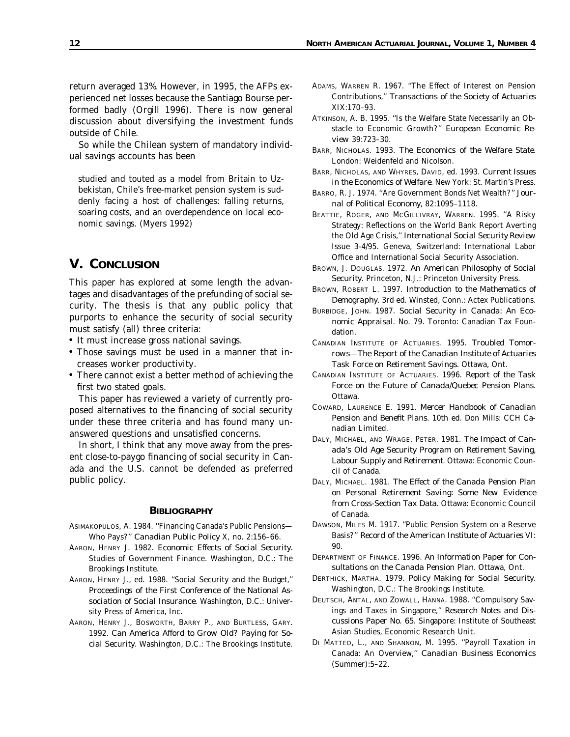So while the Chilean system of mandatory individual savings accounts has been

studied and touted as a model from Britain to Uzbekistan, Chile's free-market pension system is suddenly facing a host of challenges: falling returns, soaring costs, and an overdependence on local economic savings. (Myers 1992)

# **V. CONCLUSION**

This paper has explored at some length the advantages and disadvantages of the prefunding of social security. The thesis is that any public policy that purports to enhance the security of social security must satisfy (all) three criteria:

- It must increase gross national savings.
- Those savings must be used in a manner that increases worker productivity.
- There cannot exist a better method of achieving the first two stated goals.

This paper has reviewed a variety of currently proposed alternatives to the financing of social security under these three criteria and has found many unanswered questions and unsatisfied concerns.

In short, I think that any move away from the present close-to-paygo financing of social security in Canada and the U.S. cannot be defended as preferred public policy.

#### **BIBLIOGRAPHY**

- ASIMAKOPULOS, A. 1984. ''Financing Canada's Public Pensions— Who Pays?'' *Canadian Public Policy* X, no. 2:156–66.
- AARON, HENRY J. 1982. *Economic Effects of Social Security*. Studies of Government Finance. Washington, D.C.: The Brookings Institute.
- AARON, HENRY J., ed. 1988. ''Social Security and the Budget,'' *Proceedings of the First Conference of the National Association of Social Insurance*. Washington, D.C.: University Press of America, Inc.
- AARON, HENRY J., BOSWORTH, BARRY P., AND BURTLESS, GARY. 1992. *Can America Afford to Grow Old? Paying for Social Security*. Washington, D.C.: The Brookings Institute.
- ADAMS, WARREN R. 1967. ''The Effect of Interest on Pension Contributions,'' *Transactions of the Society of Actuaries* XIX:170–93.
- ATKINSON, A. B. 1995. ''Is the Welfare State Necessarily an Obstacle to Economic Growth?'' *European Economic Review* 39:723–30.
- BARR, NICHOLAS. 1993. *The Economics of the Welfare State*. London: Weidenfeld and Nicolson.
- BARR, NICHOLAS, AND WHYRES, DAVID, ed. 1993. *Current Issues in the Economics of Welfare*. New York: St. Martin's Press.
- BARRO, R. J. 1974. ''Are Government Bonds Net Wealth?'' *Journal of Political Economy*, 82:1095–1118.
- BEATTIE, ROGER, AND MCGILLIVRAY, WARREN. 1995. ''A Risky Strategy: Reflections on the World Bank Report Averting the Old Age Crisis,'' *International Social Security Review* Issue 3-4/95. Geneva, Switzerland: International Labor Office and International Social Security Association.
- BROWN, J. DOUGLAS. 1972. *An American Philosophy of Social Security*. Princeton, N.J.: Princeton University Press.
- BROWN, ROBERT L. 1997. *Introduction to the Mathematics of Demography*. 3rd ed. Winsted, Conn.: Actex Publications.
- BURBIDGE, JOHN. 1987. *Social Security in Canada: An Economic Appraisal*. No. 79. Toronto: Canadian Tax Foundation.
- CANADIAN INSTITUTE OF ACTUARIES. 1995. *Troubled Tomorrows—The Report of the Canadian Institute of Actuaries Task Force on Retirement Savings*. Ottawa, Ont.
- CANADIAN INSTITUTE OF ACTUARIES. 1996. *Report of the Task Force on the Future of Canada/Quebec Pension Plans*. Ottawa.
- COWARD, LAURENCE E. 1991. *Mercer Handbook of Canadian Pension and Benefit Plans*. 10th ed. Don Mills: CCH Canadian Limited.
- DALY, MICHAEL, AND WRAGE, PETER. 1981. *The Impact of Canada's Old Age Security Program on Retirement Saving, Labour Supply and Retirement*. Ottawa: Economic Council of Canada.
- DALY, MICHAEL. 1981. *The Effect of the Canada Pension Plan on Personal Retirement Saving: Some New Evidence from Cross-Section Tax Data*. Ottawa: Economic Council of Canada.
- DAWSON, MILES M. 1917. ''Public Pension System on a Reserve Basis?'' *Record of the American Institute of Actuaries* VI: 90.
- DEPARTMENT OF FINANCE. 1996. *An Information Paper for Consultations on the Canada Pension Plan*. Ottawa, Ont.
- DERTHICK, MARTHA. 1979. *Policy Making for Social Security*. Washington, D.C.: The Brookings Institute.
- DEUTSCH, ANTAL, AND ZOWALL, HANNA. 1988. ''Compulsory Savings and Taxes in Singapore,'' *Research Notes and Discussions Paper No. 65.* Singapore: Institute of Southeast Asian Studies, Economic Research Unit.
- DI MATTEO, L., AND SHANNON, M. 1995. ''Payroll Taxation in Canada: An Overview,'' *Canadian Business Economics* (Summer):5–22.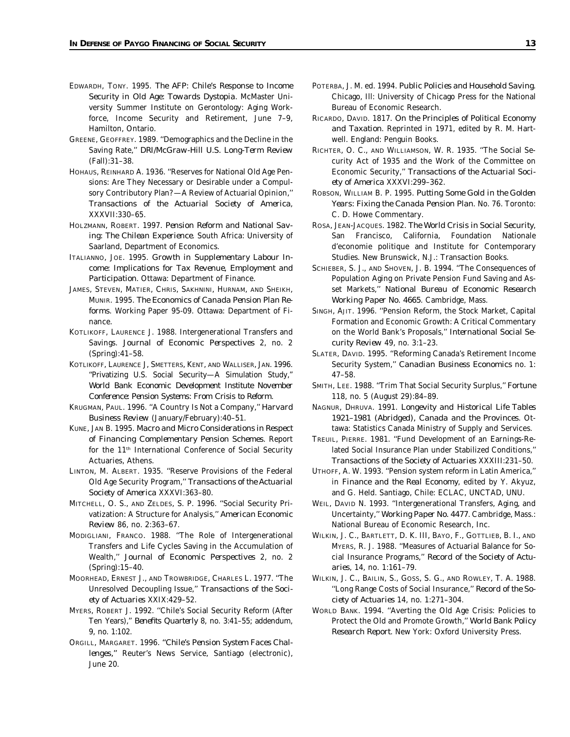- EDWARDH, TONY. 1995. *The AFP: Chile's Response to Income Security in Old Age: Towards Dystopia*. McMaster University Summer Institute on Gerontology: Aging Workforce, Income Security and Retirement, June 7–9, Hamilton, Ontario.
- GREENE, GEOFFREY. 1989. ''Demographics and the Decline in the Saving Rate,'' *DRI/McGraw-Hill U.S. Long-Term Review* (Fall):31–38.
- HOHAUS, REINHARD A. 1936. ''Reserves for National Old Age Pensions: Are They Necessary or Desirable under a Compulsory Contributory Plan?—A Review of Actuarial Opinion,'' *Transactions of the Actuarial Society of America*, XXXVII:330–65.
- HOLZMANN, ROBERT. 1997. *Pension Reform and National Saving: The Chilean Experience*. South Africa: University of Saarland, Department of Economics.
- ITALIANNO, JOE. 1995. *Growth in Supplementary Labour Income: Implications for Tax Revenue, Employment and Participation*. Ottawa: Department of Finance.
- JAMES, STEVEN, MATIER, CHRIS, SAKHNINI, HURNAM, AND SHEIKH, MUNIR. 1995. *The Economics of Canada Pension Plan Reforms*. Working Paper 95-09. Ottawa: Department of Finance.
- KOTLIKOFF, LAURENCE J. 1988. Intergenerational Transfers and Savings. *Journal of Economic Perspectives* 2, no. 2 (Spring):41–58.
- KOTLIKOFF, LAURENCE J, SMETTERS, KENT, AND WALLISER, JAN. 1996. ''Privatizing U.S. Social Security—A Simulation Study,'' *World Bank Economic Development Institute November Conference: Pension Systems: From Crisis to Reform*.
- KRUGMAN, PAUL. 1996. ''A Country Is Not a Company,'' *Harvard Business Review* (January/February):40–51.
- KUNE, JAN B. 1995. *Macro and Micro Considerations in Respect of Financing Complementary Pension Schemes*. Report for the 11th International Conference of Social Security Actuaries, Athens.
- LINTON, M. ALBERT. 1935. ''Reserve Provisions of the Federal Old Age Security Program,'' *Transactions of the Actuarial Society of America* XXXVI:363–80.
- MITCHELL, O. S., AND ZELDES, S. P. 1996. ''Social Security Privatization: A Structure for Analysis,'' *American Economic Review* 86, no. 2:363–67.
- MODIGLIANI, FRANCO. 1988. ''The Role of Intergenerational Transfers and Life Cycles Saving in the Accumulation of Wealth,'' *Journal of Economic Perspectives* 2, no. 2 (Spring):15–40.
- MOORHEAD, ERNEST J., AND TROWBRIDGE, CHARLES L. 1977. ''The Unresolved Decoupling Issue,'' *Transactions of the Society of Actuaries* XXIX:429–52.
- MYERS, ROBERT J. 1992. ''Chile's Social Security Reform (After Ten Years),'' *Benefits Quarterly* 8, no. 3:41–55; addendum, 9, no. 1:102.
- ORGILL, MARGARET. 1996. *''Chile's Pension System Faces Challenges,''* Reuter's News Service, Santiago (electronic), June 20.
- POTERBA, J. M. ed. 1994. *Public Policies and Household Saving*. Chicago, Ill: University of Chicago Press for the National Bureau of Economic Research.
- RICARDO, DAVID. 1817. *On the Principles of Political Economy and Taxation*. Reprinted in 1971, edited by R. M. Hartwell. England: Penguin Books.
- RICHTER, O. C., AND WILLIAMSON, W. R. 1935. ''The Social Security Act of 1935 and the Work of the Committee on Economic Security,'' *Transactions of the Actuarial Society of America* XXXVI:299–362.
- ROBSON, WILLIAM B. P. 1995. *Putting Some Gold in the Golden Years: Fixing the Canada Pension Plan*. No. 76. Toronto: C. D. Howe Commentary.
- ROSA, JEAN-JACQUES. 1982. *The World Crisis in Social Security*, San Francisco, California, Foundation Nationale d'economie politique and Institute for Contemporary Studies. New Brunswick, N.J.: Transaction Books.
- SCHIEBER, S. J., AND SHOVEN, J. B. 1994. ''The Consequences of Population Aging on Private Pension Fund Saving and Asset Markets,'' *National Bureau of Economic Research Working Paper No. 4665*. Cambridge, Mass.
- SINGH, AJIT. 1996. ''Pension Reform, the Stock Market, Capital Formation and Economic Growth: A Critical Commentary on the World Bank's Proposals,'' *International Social Security Review* 49, no. 3:1–23.
- SLATER, DAVID. 1995. ''Reforming Canada's Retirement Income Security System,'' *Canadian Business Economics* no. 1: 47–58.
- SMITH, LEE. 1988. ''Trim That Social Security Surplus,'' *Fortune* 118, no. 5 (August 29):84–89.
- NAGNUR, DHRUVA. 1991. *Longevity and Historical Life Tables 1921–1981 (Abridged), Canada and the Provinces*. Ottawa: Statistics Canada Ministry of Supply and Services.
- TREUIL, PIERRE. 1981. ''Fund Development of an Earnings-Related Social Insurance Plan under Stabilized Conditions,'' *Transactions of the Society of Actuaries* XXXIII:231–50.
- UTHOFF, A. W. 1993. ''Pension system reform in Latin America,'' in *Finance and the Real Economy*, edited by Y. Akyuz, and G. Held. Santiago, Chile: ECLAC, UNCTAD, UNU.
- WEIL, DAVID N. 1993. ''Intergenerational Transfers, Aging, and Uncertainty,'' *Working Paper No. 4477*. Cambridge, Mass.: National Bureau of Economic Research, Inc.
- WILKIN, J. C., BARTLETT, D. K. III, BAYO, F., GOTTLIEB, B. I., AND MYERS, R. J. 1988. ''Measures of Actuarial Balance for Social Insurance Programs,'' *Record of the Society of Actuaries*, 14, no. 1:161–79.
- WILKIN, J. C., BAILIN, S., GOSS, S. G., AND ROWLEY, T. A. 1988. ''Long Range Costs of Social Insurance,'' *Record of the Society of Actuaries* 14, no. 1:271–304.
- WORLD BANK. 1994. ''Averting the Old Age Crisis: Policies to Protect the Old and Promote Growth,'' *World Bank Policy Research Report*. New York: Oxford University Press.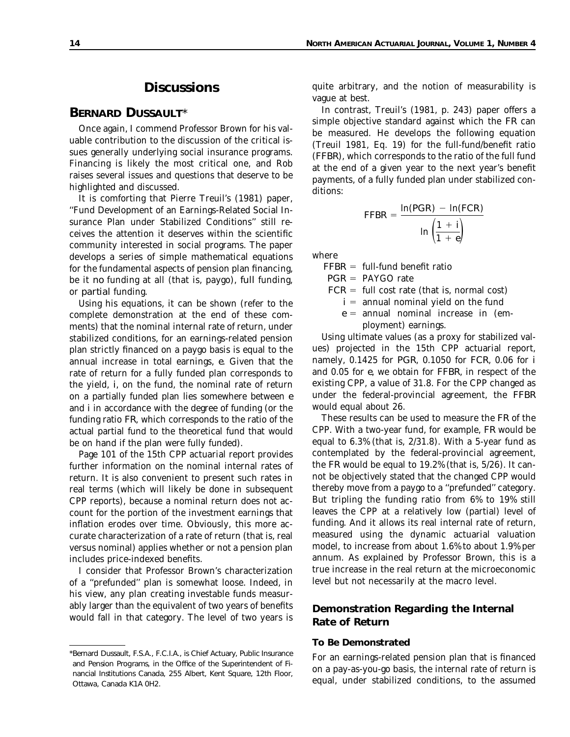# **Discussions**

## **BERNARD DUSSAULT**\*

Once again, I commend Professor Brown for his valuable contribution to the discussion of the critical issues generally underlying social insurance programs. Financing is likely the most critical one, and Rob raises several issues and questions that deserve to be highlighted and discussed.

It is comforting that Pierre Treuil's (1981) paper, ''Fund Development of an Earnings-Related Social Insurance Plan under Stabilized Conditions'' still receives the attention it deserves within the scientific community interested in social programs. The paper develops a series of simple mathematical equations for the fundamental aspects of pension plan financing, be it *no* funding at all (that is, paygo), *full* funding, or *partial* funding.

Using his equations, it can be shown (refer to the complete demonstration at the end of these comments) that the nominal internal rate of return, under stabilized conditions, for an earnings-related pension plan strictly financed on a paygo basis is equal to the annual increase in total earnings, *e*. Given that the rate of return for a fully funded plan corresponds to the yield, *i*, on the fund, the nominal rate of return on a partially funded plan lies somewhere between *e* and *i* in accordance with the degree of funding (or the funding ratio *FR*, which corresponds to the ratio of the actual partial fund to the theoretical fund that would be on hand if the plan were fully funded).

Page 101 of the 15th CPP actuarial report provides further information on the nominal internal rates of return. It is also convenient to present such rates in real terms (which will likely be done in subsequent CPP reports), because a nominal return does not account for the portion of the investment earnings that inflation erodes over time. Obviously, this more accurate characterization of a rate of return (that is, real versus nominal) applies whether or not a pension plan includes price-indexed benefits.

I consider that Professor Brown's characterization of a ''prefunded'' plan is somewhat loose. Indeed, in his view, any plan creating investable funds measurably larger than the equivalent of two years of benefits would fall in that category. The level of two years is

quite arbitrary, and the notion of measurability is vague at best.

In contrast, Treuil's (1981, p. 243) paper offers a simple objective standard against which the *FR* can be measured. He develops the following equation (Treuil 1981, Eq. 19) for the full-fund/benefit ratio (*FFBR*), which corresponds to the ratio of the full fund at the end of a given year to the next year's benefit payments, of a fully funded plan under stabilized conditions:

$$
FFBR = \frac{\ln(PGR) - \ln(FCR)}{\ln\left(\frac{1+i}{1+e}\right)}
$$

where

 $FFBR = full$ -full-fund benefit ratio

 $PGR = PAYGO$  rate

 $FCR = full cost rate (that is, normal cost)$ 

 $i =$  annual nominal yield on the fund

 $e =$  annual nominal increase in (employment) earnings.

Using ultimate values (as a proxy for stabilized values) projected in the 15th CPP actuarial report, namely, 0.1425 for *PGR*, 0.1050 for *FCR*, 0.06 for *i* and 0.05 for *e*, we obtain for *FFBR*, in respect of the existing CPP, a value of 31.8. For the CPP changed as under the federal-provincial agreement, the *FFBR* would equal about 26.

These results can be used to measure the *FR* of the CPP. With a two-year fund, for example, *FR* would be equal to 6.3% (that is, 2/31.8). With a 5-year fund as contemplated by the federal-provincial agreement, the *FR* would be equal to 19.2% (that is, 5/26). It cannot be objectively stated that the changed CPP would thereby move from a paygo to a ''prefunded'' category. But tripling the funding ratio from 6% to 19% still leaves the CPP at a relatively low (partial) level of funding. And it allows its real internal rate of return, measured using the dynamic actuarial valuation model, to increase from about 1.6% to about 1.9% per annum. As explained by Professor Brown, this is a true increase in the real return at the microeconomic level but not necessarily at the macro level.

## **Demonstration Regarding the Internal Rate of Return**

#### **To Be Demonstrated**

For an earnings-related pension plan that is financed on a pay-as-you-go basis, the internal rate of return is equal, under stabilized conditions, to the assumed

<sup>\*</sup>Bernard Dussault, F.S.A., F.C.I.A., is Chief Actuary, Public Insurance and Pension Programs, in the Office of the Superintendent of Financial Institutions Canada, 255 Albert, Kent Square, 12th Floor, Ottawa, Canada K1A 0H2.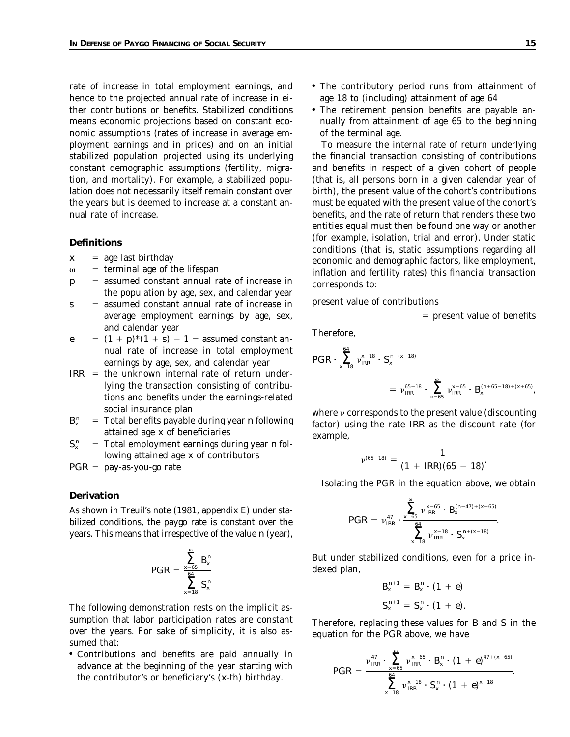rate of increase in total employment earnings, and hence to the projected annual rate of increase in either contributions or benefits. *Stabilized conditions* means economic projections based on constant economic assumptions (rates of increase in average employment earnings and in prices) and on an initial stabilized population projected using its underlying constant demographic assumptions (fertility, migration, and mortality). For example, a stabilized population does not necessarily itself remain constant over the years but is deemed to increase at a constant annual rate of increase.

#### **Definitions**

- $x = a$ ge last birthday
- $\omega$  = terminal age of the lifespan
- $p =$  assumed constant annual rate of increase in the population by age, sex, and calendar year
- $s =$  assumed constant annual rate of increase in average employment earnings by age, sex, and calendar year
- $e = (1 + p)^*(1 + s) 1 =$  assumed constant annual rate of increase in total employment earnings by age, sex, and calendar year
- $IRR = the unknown internal rate of return under$ lying the transaction consisting of contributions and benefits under the earnings-related social insurance plan
- $B_x^n$  = Total benefits payable during year *n* following attained age *x* of beneficiaries
- $S_x^n$  = Total employment earnings during year *n* following attained age *x* of contributors
- $PGR =$  pay-as-you-go rate

#### **Derivation**

As shown in Treuil's note (1981, appendix E) under stabilized conditions, the paygo rate is constant over the years. This means that irrespective of the value *n* (year),

$$
PGR = \frac{\sum_{x=65}^{\infty} B_x^n}{\sum_{x=18}^{64} S_x^n}
$$

The following demonstration rests on the implicit assumption that labor participation rates are constant over the years. For sake of simplicity, it is also assumed that:

• Contributions and benefits are paid annually in advance at the beginning of the year starting with the contributor's or beneficiary's (*x*-th) birthday.

- The contributory period runs from attainment of age 18 to (including) attainment of age 64
- The retirement pension benefits are payable annually from attainment of age 65 to the beginning of the terminal age.

To measure the internal rate of return underlying the financial transaction consisting of contributions and benefits in respect of a given cohort of people (that is, all persons born in a given calendar year of birth), the present value of the cohort's contributions must be equated with the present value of the cohort's benefits, and the rate of return that renders these two entities equal must then be found one way or another (for example, isolation, trial and error). Under static conditions (that is, static assumptions regarding all economic and demographic factors, like employment, inflation and fertility rates) this financial transaction corresponds to:

present value of contributions

 $=$  present value of benefits

Therefore,

$$
PGR \cdot \sum_{x=18}^{64} v_{IRR}^{x-18} \cdot S_x^{n+(x-18)}
$$
  
=  $v_{IRR}^{65-18} \cdot \sum_{x=65}^{\infty} v_{IRR}^{x-65} \cdot B_x^{(n+65-18)+(x+65)},$ 

where  $\nu$  corresponds to the present value (discounting factor) using the rate *IRR* as the discount rate (for example,

$$
\nu^{(65-18)} = \frac{1}{(1 + \text{IRR})(65 - 18)}.
$$

Isolating the PGR in the equation above, we obtain

$$
PGR = \nu_{IRR}^{47} \cdot \frac{\sum_{x=65}^{\infty} \nu_{IRR}^{x-65} \cdot B_{x}^{(n+47)+(x-65)}}{\sum_{x=18}^{64} \nu_{IRR}^{x-18} \cdot S_{x}^{n+(x-18)}}.
$$

But under stabilized conditions, even for a price indexed plan,

$$
B_x^{n+1} = B_x^n \cdot (1 + e)
$$
  

$$
S_x^{n+1} = S_x^n \cdot (1 + e).
$$

Therefore, replacing these values for *B* and *S* in the equation for the *PGR* above, we have

$$
PGR = \frac{v_{IRR}^{47} \cdot \sum_{x=65}^{\infty} v_{IRR}^{x-65} \cdot B_x^n \cdot (1+e)^{47+(x-65)}}{\sum_{x=18}^{64} v_{IRR}^{x-18} \cdot S_x^n \cdot (1+e)^{x-18}}.
$$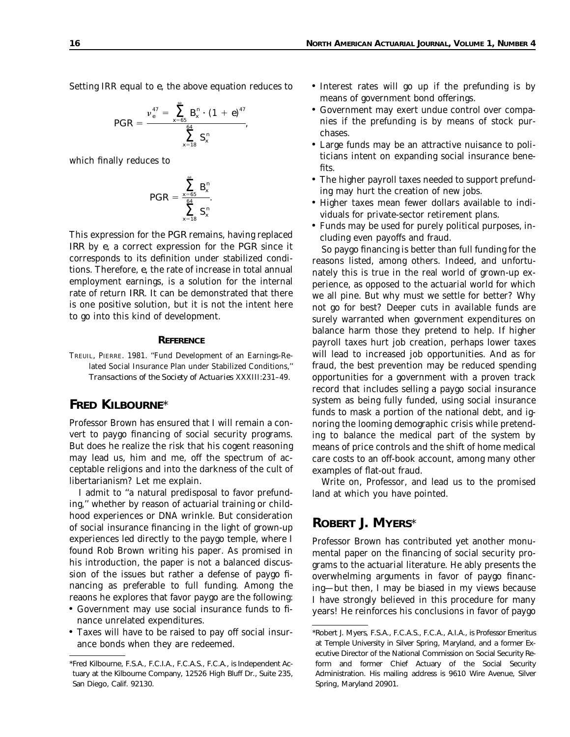Setting IRR equal to *e*, the above equation reduces to

$$
PGR = \frac{{\nu_e}^{47} = \sum\limits_{x=65}^\infty B_x^n \cdot {(1+e)}^{47}}{\sum\limits_{x=18}^{64} S_x^n},
$$

which finally reduces to

$$
PGR = \frac{\sum_{x=65}^{\infty} B_x^n}{\sum_{x=18}^{64} S_x^n}.
$$

*n*

This expression for the *PGR* remains, having replaced *IRR* by *e*, a correct expression for the *PGR* since it corresponds to its definition under stabilized conditions. Therefore, *e*, the rate of increase in total annual employment earnings, is a solution for the internal rate of return *IRR*. It can be demonstrated that there is one positive solution, but it is not the intent here to go into this kind of development.

#### **REFERENCE**

TREUIL, PIERRE. 1981. ''Fund Development of an Earnings-Related Social Insurance Plan under Stabilized Conditions,'' *Transactions of the Society of Actuaries* XXXIII:231–49.

# **FRED KILBOURNE**\*

Professor Brown has ensured that I will remain a convert to paygo financing of social security programs. But does he realize the risk that his cogent reasoning may lead us, him and me, off the spectrum of acceptable religions and into the darkness of the cult of libertarianism? Let me explain.

I admit to ''a natural predisposal to favor prefunding,'' whether by reason of actuarial training or childhood experiences or DNA wrinkle. But consideration of social insurance financing in the light of grown-up experiences led directly to the paygo temple, where I found Rob Brown writing his paper. As promised in his introduction, the paper is not a balanced discussion of the issues but rather a defense of paygo financing as preferable to full funding. Among the reaons he explores that favor paygo are the following:

- Government may use social insurance funds to finance unrelated expenditures.
- Taxes will have to be raised to pay off social insurance bonds when they are redeemed.
- Interest rates will go up if the prefunding is by means of government bond offerings.
- Government may exert undue control over companies if the prefunding is by means of stock purchases.
- Large funds may be an attractive nuisance to politicians intent on expanding social insurance benefits.
- The higher payroll taxes needed to support prefunding may hurt the creation of new jobs.
- Higher taxes mean fewer dollars available to individuals for private-sector retirement plans.
- Funds may be used for purely political purposes, including even payoffs and fraud.

So paygo financing is better than full funding for the reasons listed, among others. Indeed, and unfortunately this is true in the real world of grown-up experience, as opposed to the actuarial world for which we all pine. But why must we settle for better? Why not go for best? Deeper cuts in available funds are surely warranted when government expenditures on balance harm those they pretend to help. If higher payroll taxes hurt job creation, perhaps lower taxes will lead to increased job opportunities. And as for fraud, the best prevention may be reduced spending opportunities for a government with a proven track record that includes selling a paygo social insurance system as being fully funded, using social insurance funds to mask a portion of the national debt, and ignoring the looming demographic crisis while pretending to balance the medical part of the system by means of price controls and the shift of home medical care costs to an off-book account, among many other examples of flat-out fraud.

Write on, Professor, and lead us to the promised land at which you have pointed.

# **ROBERT J. MYERS**\*

Professor Brown has contributed yet another monumental paper on the financing of social security programs to the actuarial literature. He ably presents the overwhelming arguments in favor of paygo financing—but then, I may be biased in my views because I have strongly believed in this procedure for many years! He reinforces his conclusions in favor of paygo

<sup>\*</sup>Fred Kilbourne, F.S.A., F.C.I.A., F.C.A.S., F.C.A., is Independent Actuary at the Kilbourne Company, 12526 High Bluff Dr., Suite 235, San Diego, Calif. 92130.

<sup>\*</sup>Robert J. Myers, F.S.A., F.C.A.S., F.C.A., A.I.A., is Professor Emeritus at Temple University in Silver Spring, Maryland, and a former Executive Director of the National Commission on Social Security Reform and former Chief Actuary of the Social Security Administration. His mailing address is 9610 Wire Avenue, Silver Spring, Maryland 20901.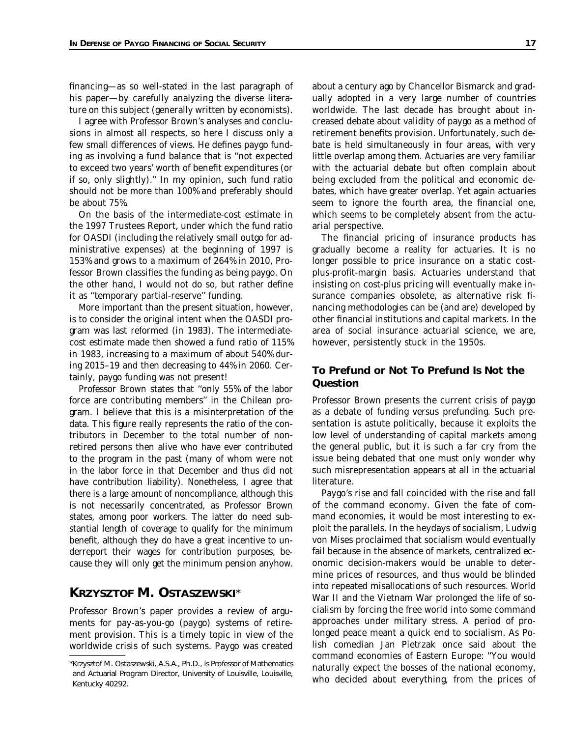financing—as so well-stated in the last paragraph of his paper—by carefully analyzing the diverse literature on this subject (generally written by economists).

I agree with Professor Brown's analyses and conclusions in almost all respects, so here I discuss only a few small differences of views. He defines paygo funding as involving a fund balance that is ''not expected to exceed two years' worth of benefit expenditures (or if so, only slightly).'' In my opinion, such fund ratio should not be more than 100% and preferably should be about 75%.

On the basis of the intermediate-cost estimate in the 1997 Trustees Report, under which the fund ratio for OASDI (including the relatively small outgo for administrative expenses) at the beginning of 1997 is 153% and grows to a maximum of 264% in 2010, Professor Brown classifies the funding as being paygo. On the other hand, I would not do so, but rather define it as ''temporary partial-reserve'' funding.

More important than the present situation, however, is to consider the original intent when the OASDI program was last reformed (in 1983). The intermediatecost estimate made then showed a fund ratio of 115% in 1983, increasing to a maximum of about 540% during 2015–19 and then decreasing to 44% in 2060. Certainly, paygo funding was not present!

Professor Brown states that ''only 55% of the labor force are contributing members'' in the Chilean program. I believe that this is a misinterpretation of the data. This figure really represents the ratio of the contributors in December to the total number of nonretired persons then alive who have ever contributed to the program in the past (many of whom were not in the labor force in that December and thus did not have contribution liability). Nonetheless, I agree that there is a large amount of noncompliance, although this is not necessarily concentrated, as Professor Brown states, among poor workers. The latter do need substantial length of coverage to qualify for the minimum benefit, although they do have a great incentive to underreport their wages for contribution purposes, because they will only get the minimum pension anyhow.

# **KRZYSZTOF M. OSTASZEWSKI**\*

Professor Brown's paper provides a review of arguments for pay-as-you-go (paygo) systems of retirement provision. This is a timely topic in view of the worldwide crisis of such systems. Paygo was created about a century ago by Chancellor Bismarck and gradually adopted in a very large number of countries worldwide. The last decade has brought about increased debate about validity of paygo as a method of retirement benefits provision. Unfortunately, such debate is held simultaneously in four areas, with very little overlap among them. Actuaries are very familiar with the actuarial debate but often complain about being excluded from the political and economic debates, which have greater overlap. Yet again actuaries seem to ignore the fourth area, the financial one, which seems to be completely absent from the actuarial perspective.

The financial pricing of insurance products has gradually become a reality for actuaries. It is no longer possible to price insurance on a static costplus-profit-margin basis. Actuaries understand that insisting on cost-plus pricing will eventually make insurance companies obsolete, as alternative risk financing methodologies can be (and are) developed by other financial institutions and capital markets. In the area of social insurance actuarial science, we are, however, persistently stuck in the 1950s.

# **To Prefund or Not To Prefund Is Not the Question**

Professor Brown presents the current crisis of paygo as a debate of funding versus prefunding. Such presentation is astute politically, because it exploits the low level of understanding of capital markets among the general public, but it is such a far cry from the issue being debated that one must only wonder why such misrepresentation appears at all in the actuarial literature.

Paygo's rise and fall coincided with the rise and fall of the command economy. Given the fate of command economies, it would be most interesting to exploit the parallels. In the heydays of socialism, Ludwig von Mises proclaimed that socialism would eventually fail because in the absence of markets, centralized economic decision-makers would be unable to determine prices of resources, and thus would be blinded into repeated misallocations of such resources. World War II and the Vietnam War prolonged the life of socialism by forcing the free world into some command approaches under military stress. A period of prolonged peace meant a quick end to socialism. As Polish comedian Jan Pietrzak once said about the command economies of Eastern Europe: ''You would naturally expect the bosses of the national economy, who decided about everything, from the prices of

<sup>\*</sup>Krzysztof M. Ostaszewski, A.S.A., Ph.D., is Professor of Mathematics and Actuarial Program Director, University of Louisville, Louisville, Kentucky 40292.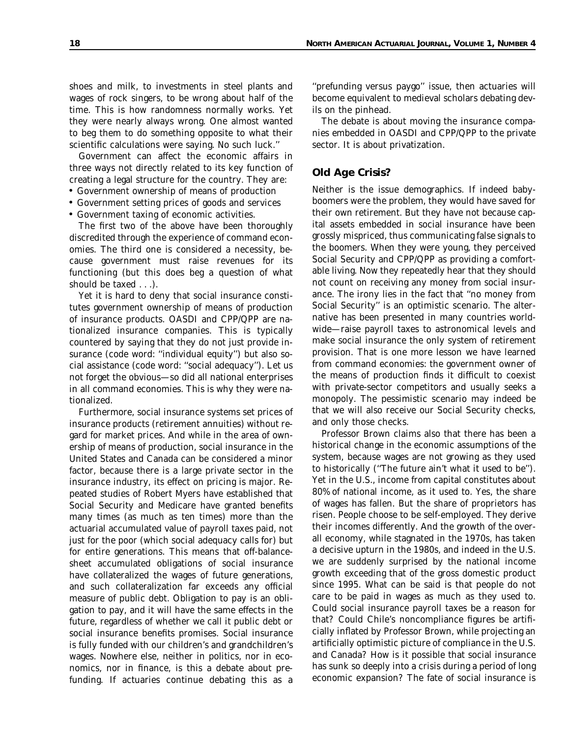shoes and milk, to investments in steel plants and wages of rock singers, to be wrong about half of the time. This is how randomness normally works. Yet they were nearly always wrong. One almost wanted to beg them to do something opposite to what their scientific calculations were saying. No such luck.''

Government can affect the economic affairs in three ways not directly related to its key function of creating a legal structure for the country. They are:

- Government ownership of means of production
- Government setting prices of goods and services
- Government taxing of economic activities.

The first two of the above have been thoroughly discredited through the experience of command economies. The third one is considered a necessity, because government must raise revenues for its functioning (but this does beg a question of what should be taxed . . .).

Yet it is hard to deny that social insurance constitutes government ownership of means of production of insurance products. OASDI and CPP/QPP are nationalized insurance companies. This is typically countered by saying that they do not just provide insurance (code word: ''individual equity'') but also social assistance (code word: ''social adequacy''). Let us not forget the obvious—so did all national enterprises in all command economies. This is why they were nationalized.

Furthermore, social insurance systems set prices of insurance products (retirement annuities) without regard for market prices. And while in the area of ownership of means of production, social insurance in the United States and Canada can be considered a minor factor, because there is a large private sector in the insurance industry, its effect on pricing is major. Repeated studies of Robert Myers have established that Social Security and Medicare have granted benefits many times (as much as ten times) more than the actuarial accumulated value of payroll taxes paid, not just for the poor (which social adequacy calls for) but for entire generations. This means that off-balancesheet accumulated obligations of social insurance have collateralized the wages of future generations, and such collateralization far exceeds any official measure of public debt. Obligation to pay is an obligation to pay, and it will have the same effects in the future, regardless of whether we call it public debt or social insurance benefits promises. Social insurance is fully funded with our children's and grandchildren's wages. Nowhere else, neither in politics, nor in economics, nor in finance, is this a debate about prefunding. If actuaries continue debating this as a

''prefunding versus paygo'' issue, then actuaries will become equivalent to medieval scholars debating devils on the pinhead.

The debate is about moving the insurance companies embedded in OASDI and CPP/QPP to the private sector. It is about privatization.

### **Old Age Crisis?**

Neither is the issue demographics. If indeed babyboomers were the problem, they would have saved for their own retirement. But they have not because capital assets embedded in social insurance have been grossly mispriced, thus communicating false signals to the boomers. When they were young, they perceived Social Security and CPP/QPP as providing a comfortable living. Now they repeatedly hear that they should not count on receiving any money from social insurance. The irony lies in the fact that ''no money from Social Security'' is an optimistic scenario. The alternative has been presented in many countries worldwide—raise payroll taxes to astronomical levels and make social insurance the only system of retirement provision. That is one more lesson we have learned from command economies: the government owner of the means of production finds it difficult to coexist with private-sector competitors and usually seeks a monopoly. The pessimistic scenario may indeed be that we will also receive our Social Security checks, and only those checks.

Professor Brown claims also that there has been a historical change in the economic assumptions of the system, because wages are not growing as they used to historically (''The future ain't what it used to be''). Yet in the U.S., income from capital constitutes about 80% of national income, as it used to. Yes, the share of wages has fallen. But the share of proprietors has risen. People choose to be self-employed. They derive their incomes differently. And the growth of the overall economy, while stagnated in the 1970s, has taken a decisive upturn in the 1980s, and indeed in the U.S. we are suddenly surprised by the national income growth exceeding that of the gross domestic product since 1995. What can be said is that people do not care to be paid in wages as much as they used to. Could social insurance payroll taxes be a reason for that? Could Chile's noncompliance figures be artificially inflated by Professor Brown, while projecting an artificially optimistic picture of compliance in the U.S. and Canada? How is it possible that social insurance has sunk so deeply into a crisis during a period of long economic expansion? The fate of social insurance is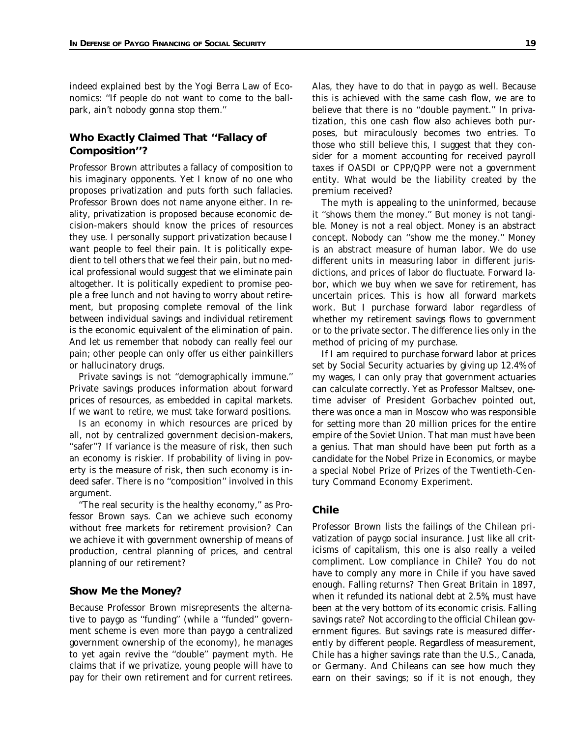indeed explained best by the Yogi Berra Law of Economics: ''If people do not want to come to the ballpark, ain't nobody gonna stop them.''

## **Who Exactly Claimed That ''Fallacy of Composition''?**

Professor Brown attributes a fallacy of composition to his imaginary opponents. Yet I know of no one who proposes privatization and puts forth such fallacies. Professor Brown does not name anyone either. In reality, privatization is proposed because economic decision-makers should know the prices of resources they use. I personally support privatization because I want people to feel their pain. It is politically expedient to tell others that we feel their pain, but no medical professional would suggest that we eliminate pain altogether. It is politically expedient to promise people a free lunch and not having to worry about retirement, but proposing complete removal of the link between individual savings and individual retirement is the economic equivalent of the elimination of pain. And let us remember that nobody can really feel our pain; other people can only offer us either painkillers or hallucinatory drugs.

Private savings is not ''demographically immune.'' Private savings produces information about forward prices of resources, as embedded in capital markets. If we want to retire, we must take forward positions.

Is an economy in which resources are priced by all, not by centralized government decision-makers, "safer"? If variance is the measure of risk, then such an economy is riskier. If probability of living in poverty is the measure of risk, then such economy is indeed safer. There is no ''composition'' involved in this argument.

''The real security is the healthy economy,'' as Professor Brown says. Can we achieve such economy without free markets for retirement provision? Can we achieve it with government ownership of means of production, central planning of prices, and central planning of our retirement?

#### **Show Me the Money?**

Because Professor Brown misrepresents the alternative to paygo as ''funding'' (while a ''funded'' government scheme is even more than paygo a centralized government ownership of the economy), he manages to yet again revive the ''double'' payment myth. He claims that if we privatize, young people will have to pay for their own retirement and for current retirees.

Alas, they have to do that in paygo as well. Because this is achieved with the same cash flow, we are to believe that there is no ''double payment.'' In privatization, this one cash flow also achieves both purposes, but miraculously becomes two entries. To those who still believe this, I suggest that they consider for a moment accounting for received payroll taxes if OASDI or CPP/QPP were not a government entity. What would be the liability created by the premium received?

The myth is appealing to the uninformed, because it ''shows them the money.'' But money is not tangible. Money is not a real object. Money is an abstract concept. Nobody can ''show me the money.'' Money is an abstract measure of human labor. We do use different units in measuring labor in different jurisdictions, and prices of labor do fluctuate. Forward labor, which we buy when we save for retirement, has uncertain prices. This is how all forward markets work. But I purchase forward labor regardless of whether my retirement savings flows to government or to the private sector. The difference lies only in the method of pricing of my purchase.

If I am required to purchase forward labor at prices set by Social Security actuaries by giving up 12.4% of my wages, I can only pray that government actuaries can calculate correctly. Yet as Professor Maltsev, onetime adviser of President Gorbachev pointed out, there was once a man in Moscow who was responsible for setting more than 20 million prices for the entire empire of the Soviet Union. That man must have been a genius. That man should have been put forth as a candidate for the Nobel Prize in Economics, or maybe a special Nobel Prize of Prizes of the Twentieth-Century Command Economy Experiment.

#### **Chile**

Professor Brown lists the failings of the Chilean privatization of paygo social insurance. Just like all criticisms of capitalism, this one is also really a veiled compliment. Low compliance in Chile? You do not have to comply any more in Chile if you have saved enough. Falling returns? Then Great Britain in 1897, when it refunded its national debt at 2.5%, must have been at the very bottom of its economic crisis. Falling savings rate? Not according to the official Chilean government figures. But savings rate is measured differently by different people. Regardless of measurement, Chile has a higher savings rate than the U.S., Canada, or Germany. And Chileans can see how much they earn on their savings; so if it is not enough, they